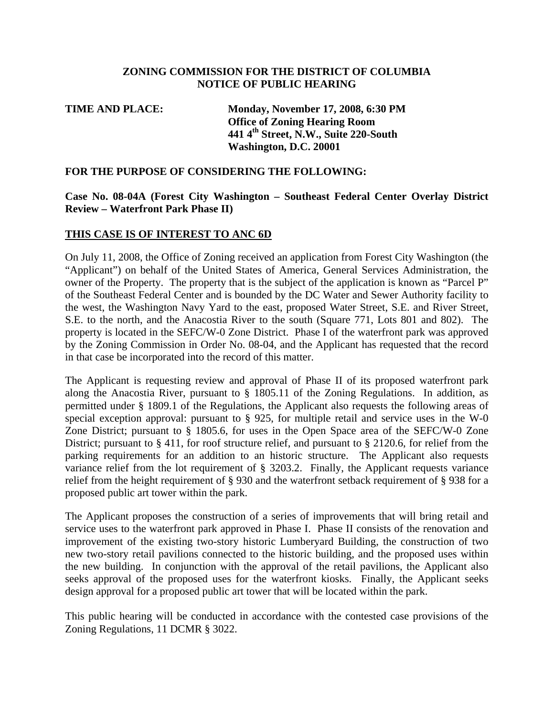## **ZONING COMMISSION FOR THE DISTRICT OF COLUMBIA NOTICE OF PUBLIC HEARING**

| <b>Monday, November 17, 2008, 6:30 PM</b>         |
|---------------------------------------------------|
| <b>Office of Zoning Hearing Room</b>              |
| 441 4 <sup>th</sup> Street, N.W., Suite 220-South |
| Washington, D.C. 20001                            |
|                                                   |

#### **FOR THE PURPOSE OF CONSIDERING THE FOLLOWING:**

## **Case No. 08-04A (Forest City Washington – Southeast Federal Center Overlay District Review – Waterfront Park Phase II)**

## **THIS CASE IS OF INTEREST TO ANC 6D**

On July 11, 2008, the Office of Zoning received an application from Forest City Washington (the "Applicant") on behalf of the United States of America, General Services Administration, the owner of the Property. The property that is the subject of the application is known as "Parcel P" of the Southeast Federal Center and is bounded by the DC Water and Sewer Authority facility to the west, the Washington Navy Yard to the east, proposed Water Street, S.E. and River Street, S.E. to the north, and the Anacostia River to the south (Square 771, Lots 801 and 802). The property is located in the SEFC/W-0 Zone District. Phase I of the waterfront park was approved by the Zoning Commission in Order No. 08-04, and the Applicant has requested that the record in that case be incorporated into the record of this matter.

The Applicant is requesting review and approval of Phase II of its proposed waterfront park along the Anacostia River, pursuant to § 1805.11 of the Zoning Regulations. In addition, as permitted under § 1809.1 of the Regulations, the Applicant also requests the following areas of special exception approval: pursuant to § 925, for multiple retail and service uses in the W-0 Zone District; pursuant to § 1805.6, for uses in the Open Space area of the SEFC/W-0 Zone District; pursuant to § 411, for roof structure relief, and pursuant to § 2120.6, for relief from the parking requirements for an addition to an historic structure. The Applicant also requests variance relief from the lot requirement of § 3203.2. Finally, the Applicant requests variance relief from the height requirement of § 930 and the waterfront setback requirement of § 938 for a proposed public art tower within the park.

The Applicant proposes the construction of a series of improvements that will bring retail and service uses to the waterfront park approved in Phase I. Phase II consists of the renovation and improvement of the existing two-story historic Lumberyard Building, the construction of two new two-story retail pavilions connected to the historic building, and the proposed uses within the new building. In conjunction with the approval of the retail pavilions, the Applicant also seeks approval of the proposed uses for the waterfront kiosks. Finally, the Applicant seeks design approval for a proposed public art tower that will be located within the park.

This public hearing will be conducted in accordance with the contested case provisions of the Zoning Regulations, 11 DCMR § 3022.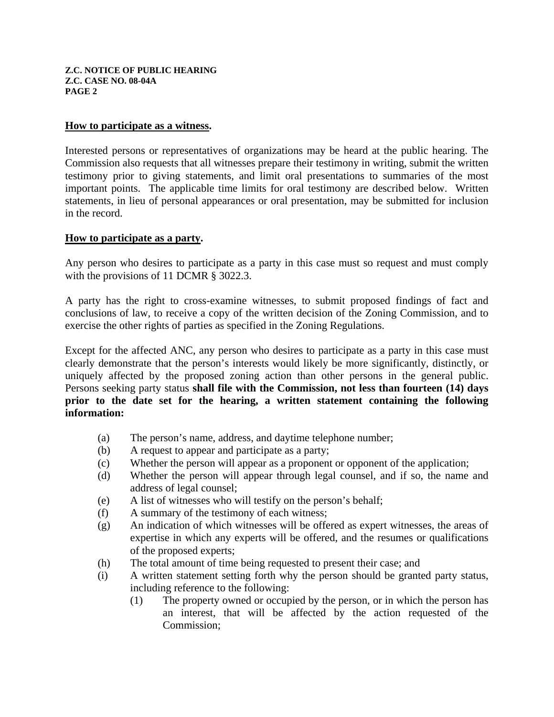#### **How to participate as a witness.**

Interested persons or representatives of organizations may be heard at the public hearing. The Commission also requests that all witnesses prepare their testimony in writing, submit the written testimony prior to giving statements, and limit oral presentations to summaries of the most important points. The applicable time limits for oral testimony are described below. Written statements, in lieu of personal appearances or oral presentation, may be submitted for inclusion in the record.

#### **How to participate as a party.**

Any person who desires to participate as a party in this case must so request and must comply with the provisions of 11 DCMR § 3022.3.

A party has the right to cross-examine witnesses, to submit proposed findings of fact and conclusions of law, to receive a copy of the written decision of the Zoning Commission, and to exercise the other rights of parties as specified in the Zoning Regulations.

Except for the affected ANC, any person who desires to participate as a party in this case must clearly demonstrate that the person's interests would likely be more significantly, distinctly, or uniquely affected by the proposed zoning action than other persons in the general public. Persons seeking party status **shall file with the Commission, not less than fourteen (14) days prior to the date set for the hearing, a written statement containing the following information:**

- (a) The person's name, address, and daytime telephone number;
- (b) A request to appear and participate as a party;
- (c) Whether the person will appear as a proponent or opponent of the application;
- (d) Whether the person will appear through legal counsel, and if so, the name and address of legal counsel;
- (e) A list of witnesses who will testify on the person's behalf;
- (f) A summary of the testimony of each witness;
- (g) An indication of which witnesses will be offered as expert witnesses, the areas of expertise in which any experts will be offered, and the resumes or qualifications of the proposed experts;
- (h) The total amount of time being requested to present their case; and
- (i) A written statement setting forth why the person should be granted party status, including reference to the following:
	- (1) The property owned or occupied by the person, or in which the person has an interest, that will be affected by the action requested of the Commission;